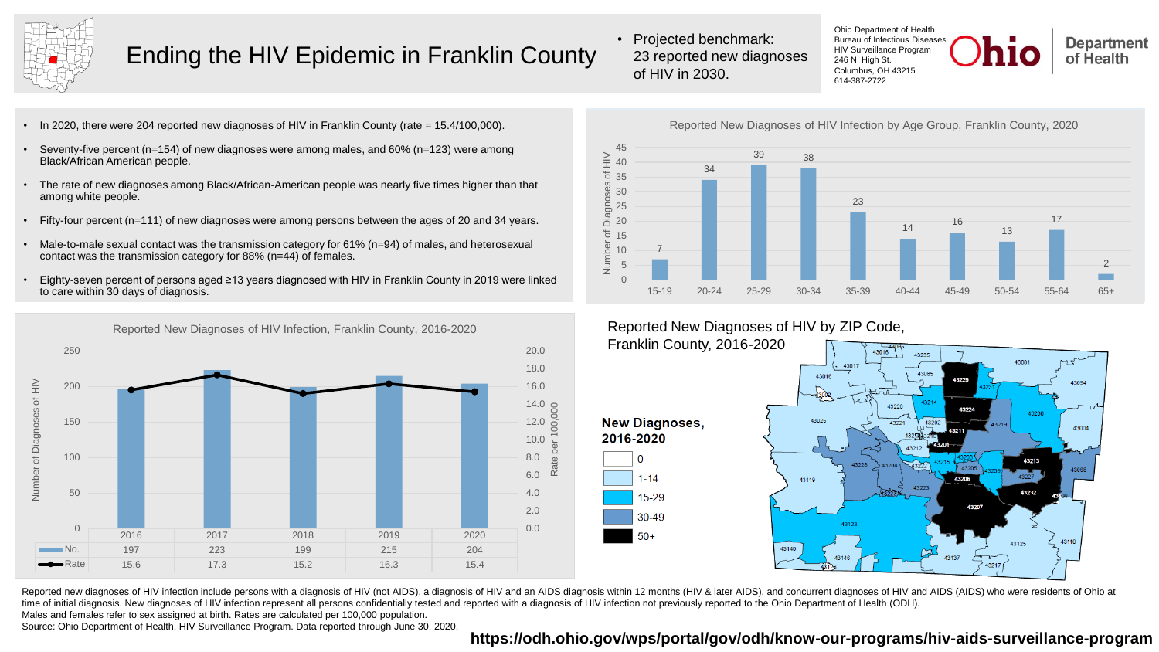

## Ending the HIV Epidemic in Franklin County

• Projected benchmark: 23 reported new diagnoses of HIV in 2030.

Ohio Department of Health Bureau of Infectious Diseases HIV Surveillance Program 246 N. High St. Columbus, OH 43215 614-387-2722



- In 2020, there were 204 reported new diagnoses of HIV in Franklin County (rate = 15.4/100,000).
- Seventy-five percent (n=154) of new diagnoses were among males, and 60% (n=123) were among Black/African American people.
- The rate of new diagnoses among Black/African-American people was nearly five times higher than that among white people.
- Fifty-four percent (n=111) of new diagnoses were among persons between the ages of 20 and 34 years.
- Male-to-male sexual contact was the transmission category for 61% (n=94) of males, and heterosexual contact was the transmission category for 88% (n=44) of females.
- Eighty-seven percent of persons aged ≥13 years diagnosed with HIV in Franklin County in 2019 were linked to care within 30 days of diagnosis.



Reported New Diagnoses of HIV Infection by Age Group, Franklin County, 2020



### Reported New Diagnoses of HIV by ZIP Code,

Franklin County, 2016-2020

**New Diagnoses.** 2016-2020  $\Omega$  $1 - 14$ 15-29 30-49 50+



Reported new diagnoses of HIV infection include persons with a diagnosis of HIV (not AIDS), a diagnosis of HIV and an AIDS diagnosis within 12 months (HIV & later AIDS), and concurrent diagnoses of HIV and AIDS (AIDS) who time of initial diagnosis. New diagnoses of HIV infection represent all persons confidentially tested and reported with a diagnosis of HIV infection not previously reported to the Ohio Department of Health (ODH).

Males and females refer to sex assigned at birth. Rates are calculated per 100,000 population.

Source: Ohio Department of Health, HIV Surveillance Program. Data reported through June 30, 2020.

#### **<https://odh.ohio.gov/wps/portal/gov/odh/know-our-programs/hiv-aids-surveillance-program>**